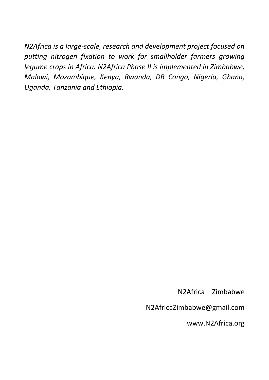*N2Africa is a large-scale, research and development project focused on putting nitrogen fixation to work for smallholder farmers growing legume crops in Africa. N2Africa Phase II is implemented in Zimbabwe, Malawi, Mozambique, Kenya, Rwanda, DR Congo, Nigeria, Ghana, Uganda, Tanzania and Ethiopia.* 

N2Africa – Zimbabwe

N2AfricaZimbabwe@gmail.com

www.N2Africa.org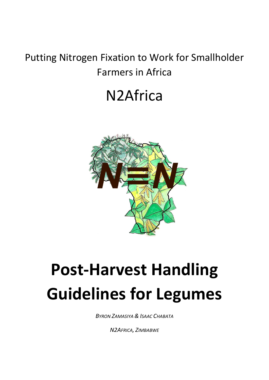### Putting Nitrogen Fixation to Work for Smallholder Farmers in Africa

# N2Africa



# **Post-Harvest Handling Guidelines for Legumes**

*BYRON ZAMASIYA & ISAAC CHABATA*

*N2AFRICA, ZIMBABWE*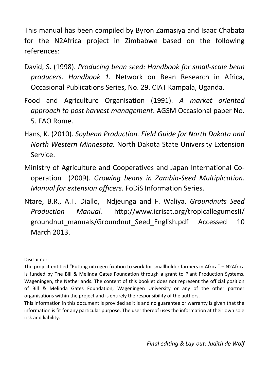This manual has been compiled by Byron Zamasiya and Isaac Chabata for the N2Africa project in Zimbabwe based on the following references:

- David, S. (1998). *Producing bean seed: Handbook for small-scale bean producers. Handbook 1.* Network on Bean Research in Africa, Occasional Publications Series, No. 29. CIAT Kampala, Uganda.
- Food and Agriculture Organisation (1991). *A market oriented approach to post harvest management*. AGSM Occasional paper No. 5. FAO Rome.
- Hans, K. (2010). *Soybean Production. Field Guide for North Dakota and North Western Minnesota.* North Dakota State University Extension Service.
- Ministry of Agriculture and Cooperatives and Japan International Cooperation (2009). *Growing beans in Zambia-Seed Multiplication. Manual for extension officers.* FoDiS Information Series.
- Ntare, B.R., A.T. Diallo, Ndjeunga and F. Waliya. *Groundnuts Seed Production Manual.* http://www.icrisat.org/tropicallegumesII/ groundnut manuals/Groundnut Seed English.pdf Accessed 10 March 2013.

Disclaimer:

The project entitled "Putting nitrogen fixation to work for smallholder farmers in Africa" – N2Africa is funded by The Bill & Melinda Gates Foundation through a grant to Plant Production Systems, Wageningen, the Netherlands. The content of this booklet does not represent the official position of Bill & Melinda Gates Foundation, Wageningen University or any of the other partner organisations within the project and is entirely the responsibility of the authors.

This information in this document is provided as it is and no guarantee or warranty is given that the information is fit for any particular purpose. The user thereof uses the information at their own sole risk and liability.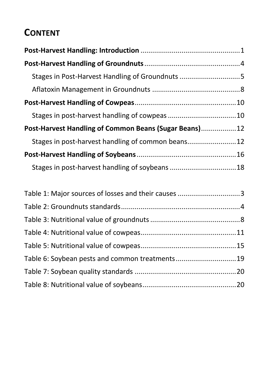### **CONTENT**

| Stages in Post-Harvest Handling of Groundnuts 5       |  |
|-------------------------------------------------------|--|
|                                                       |  |
|                                                       |  |
|                                                       |  |
| Post-Harvest Handling of Common Beans (Sugar Beans)12 |  |
|                                                       |  |
|                                                       |  |
|                                                       |  |

| Table 1: Major sources of losses and their causes 3 |  |
|-----------------------------------------------------|--|
|                                                     |  |
|                                                     |  |
|                                                     |  |
|                                                     |  |
| Table 6: Soybean pests and common treatments19      |  |
|                                                     |  |
|                                                     |  |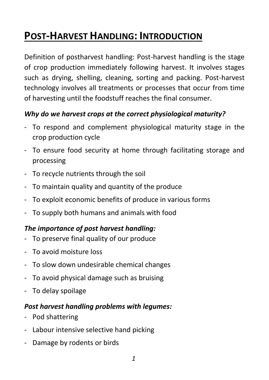### **POST-HARVEST HANDLING: INTRODUCTION**

Definition of postharvest handling: Post-harvest handling is the stage of crop production immediately following harvest. It involves stages such as drying, shelling, cleaning, sorting and packing. Post-harvest technology involves all treatments or processes that occur from time of harvesting until the foodstuff reaches the final consumer.

#### *Why do we harvest crops at the correct physiological maturity?*

- To respond and complement physiological maturity stage in the crop production cycle
- To ensure food security at home through facilitating storage and processing
- To recycle nutrients through the soil
- To maintain quality and quantity of the produce
- To exploit economic benefits of produce in various forms
- To supply both humans and animals with food

#### *The importance of post harvest handling:*

- To preserve final quality of our produce
- To avoid moisture loss
- To slow down undesirable chemical changes
- To avoid physical damage such as bruising
- To delay spoilage

#### *Post harvest handling problems with legumes:*

- Pod shattering
- Labour intensive selective hand picking
- Damage by rodents or birds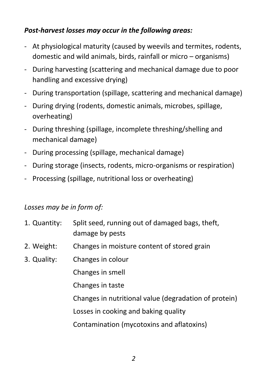#### *Post-harvest losses may occur in the following areas:*

- At physiological maturity (caused by weevils and termites, rodents, domestic and wild animals, birds, rainfall or micro – organisms)
- During harvesting (scattering and mechanical damage due to poor handling and excessive drying)
- During transportation (spillage, scattering and mechanical damage)
- During drying (rodents, domestic animals, microbes, spillage, overheating)
- During threshing (spillage, incomplete threshing/shelling and mechanical damage)
- During processing (spillage, mechanical damage)
- During storage (insects, rodents, micro-organisms or respiration)
- Processing (spillage, nutritional loss or overheating)

#### *Losses may be in form of:*

| 1. Quantity: | Split seed, running out of damaged bags, theft,<br>damage by pests |
|--------------|--------------------------------------------------------------------|
| 2. Weight:   | Changes in moisture content of stored grain                        |
| 3. Quality:  | Changes in colour                                                  |
|              | Changes in smell                                                   |
|              | Changes in taste                                                   |
|              | Changes in nutritional value (degradation of protein)              |
|              | Losses in cooking and baking quality                               |
|              | Contamination (mycotoxins and aflatoxins)                          |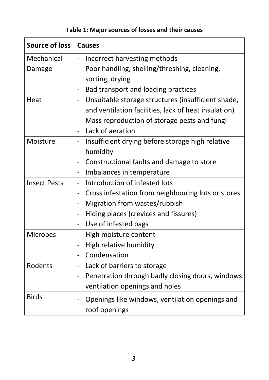#### **Table 1: Major sources of losses and their causes**

| <b>Source of loss</b> | <b>Causes</b>                                                                |  |  |
|-----------------------|------------------------------------------------------------------------------|--|--|
| Mechanical            | Incorrect harvesting methods                                                 |  |  |
| Damage                | Poor handling, shelling/threshing, cleaning,<br>$\overline{\phantom{0}}$     |  |  |
|                       | sorting, drying                                                              |  |  |
|                       | Bad transport and loading practices<br>-                                     |  |  |
| Heat                  | Unsuitable storage structures (insufficient shade,<br>$\qquad \qquad -$      |  |  |
|                       | and ventilation facilities, lack of heat insulation)                         |  |  |
|                       | Mass reproduction of storage pests and fungi<br>$\qquad \qquad \blacksquare$ |  |  |
|                       | Lack of aeration<br>$\overline{\phantom{a}}$                                 |  |  |
| Moisture              | Insufficient drying before storage high relative<br>$\overline{\phantom{0}}$ |  |  |
|                       | humidity                                                                     |  |  |
|                       | Constructional faults and damage to store<br>$\overline{\phantom{0}}$        |  |  |
|                       | Imbalances in temperature<br>$\qquad \qquad \blacksquare$                    |  |  |
| <b>Insect Pests</b>   | Introduction of infested lots                                                |  |  |
|                       | Cross infestation from neighbouring lots or stores<br>-                      |  |  |
|                       | Migration from wastes/rubbish<br>-                                           |  |  |
|                       | Hiding places (crevices and fissures)<br>$\overline{\phantom{0}}$            |  |  |
|                       | Use of infested bags<br>-                                                    |  |  |
| <b>Microbes</b>       | High moisture content                                                        |  |  |
|                       | High relative humidity                                                       |  |  |
|                       | Condensation<br>$\qquad \qquad \blacksquare$                                 |  |  |
| Rodents               | Lack of barriers to storage<br>-                                             |  |  |
|                       | Penetration through badly closing doors, windows<br>$\overline{\phantom{a}}$ |  |  |
|                       | ventilation openings and holes                                               |  |  |
| <b>Birds</b>          | Openings like windows, ventilation openings and<br>-<br>roof openings        |  |  |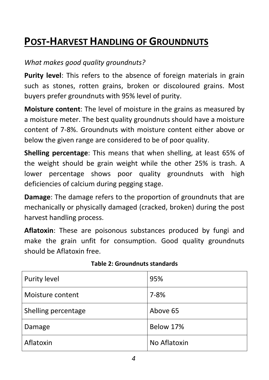### **POST-HARVEST HANDLING OF GROUNDNUTS**

#### *What makes good quality groundnuts?*

**Purity level**: This refers to the absence of foreign materials in grain such as stones, rotten grains, broken or discoloured grains. Most buyers prefer groundnuts with 95% level of purity.

**Moisture content**: The level of moisture in the grains as measured by a moisture meter. The best quality groundnuts should have a moisture content of 7-8%. Groundnuts with moisture content either above or below the given range are considered to be of poor quality.

**Shelling percentage**: This means that when shelling, at least 65% of the weight should be grain weight while the other 25% is trash. A lower percentage shows poor quality groundnuts with high deficiencies of calcium during pegging stage.

**Damage**: The damage refers to the proportion of groundnuts that are mechanically or physically damaged (cracked, broken) during the post harvest handling process.

**Aflatoxin**: These are poisonous substances produced by fungi and make the grain unfit for consumption. Good quality groundnuts should be Aflatoxin free.

| <b>Purity level</b> | 95%          |
|---------------------|--------------|
| Moisture content    | $7 - 8%$     |
| Shelling percentage | Above 65     |
| Damage              | Below 17%    |
| Aflatoxin           | No Aflatoxin |

#### **Table 2: Groundnuts standards**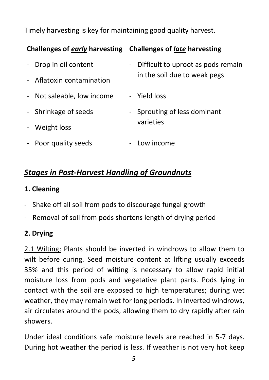Timely harvesting is key for maintaining good quality harvest.

| Challenges of early harvesting |                            | <b>Challenges of late harvesting</b> |                                    |
|--------------------------------|----------------------------|--------------------------------------|------------------------------------|
| $\equiv$                       | Drop in oil content        |                                      | Difficult to uproot as pods remain |
|                                | - Aflatoxin contamination  |                                      | in the soil due to weak pegs       |
|                                | - Not saleable, low income |                                      | - Yield loss                       |
|                                | - Shrinkage of seeds       |                                      | Sprouting of less dominant         |
|                                | Weight loss                |                                      | varieties                          |
| $\blacksquare$                 | Poor quality seeds         |                                      | Low income                         |

#### *Stages in Post-Harvest Handling of Groundnuts*

#### **1. Cleaning**

- Shake off all soil from pods to discourage fungal growth
- Removal of soil from pods shortens length of drying period

#### **2. Drying**

2.1 Wilting: Plants should be inverted in windrows to allow them to wilt before curing. Seed moisture content at lifting usually exceeds 35% and this period of wilting is necessary to allow rapid initial moisture loss from pods and vegetative plant parts. Pods lying in contact with the soil are exposed to high temperatures; during wet weather, they may remain wet for long periods. In inverted windrows, air circulates around the pods, allowing them to dry rapidly after rain showers.

Under ideal conditions safe moisture levels are reached in 5-7 days. During hot weather the period is less. If weather is not very hot keep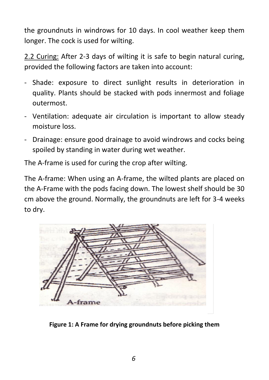the groundnuts in windrows for 10 days. In cool weather keep them longer. The cock is used for wilting.

2.2 Curing: After 2-3 days of wilting it is safe to begin natural curing, provided the following factors are taken into account:

- Shade: exposure to direct sunlight results in deterioration in quality. Plants should be stacked with pods innermost and foliage outermost.
- Ventilation: adequate air circulation is important to allow steady moisture loss.
- Drainage: ensure good drainage to avoid windrows and cocks being spoiled by standing in water during wet weather.

The A-frame is used for curing the crop after wilting.

The A-frame: When using an A-frame, the wilted plants are placed on the A-Frame with the pods facing down. The lowest shelf should be 30 cm above the ground. Normally, the groundnuts are left for 3-4 weeks to dry.



**Figure 1: A Frame for drying groundnuts before picking them**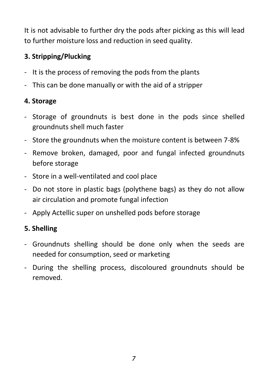It is not advisable to further dry the pods after picking as this will lead to further moisture loss and reduction in seed quality.

#### **3. Stripping/Plucking**

- It is the process of removing the pods from the plants
- This can be done manually or with the aid of a stripper

#### **4. Storage**

- Storage of groundnuts is best done in the pods since shelled groundnuts shell much faster
- Store the groundnuts when the moisture content is between 7-8%
- Remove broken, damaged, poor and fungal infected groundnuts before storage
- Store in a well-ventilated and cool place
- Do not store in plastic bags (polythene bags) as they do not allow air circulation and promote fungal infection
- Apply Actellic super on unshelled pods before storage

#### **5. Shelling**

- Groundnuts shelling should be done only when the seeds are needed for consumption, seed or marketing
- During the shelling process, discoloured groundnuts should be removed.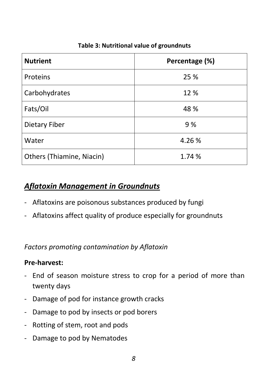| <b>Nutrient</b>                  | Percentage (%) |
|----------------------------------|----------------|
| Proteins                         | 25 %           |
| Carbohydrates                    | 12 %           |
| Fats/Oil                         | 48 %           |
| Dietary Fiber                    | 9 %            |
| Water                            | 4.26 %         |
| <b>Others (Thiamine, Niacin)</b> | 1.74 %         |

#### **Table 3: Nutritional value of groundnuts**

#### *Aflatoxin Management in Groundnuts*

- Aflatoxins are poisonous substances produced by fungi
- Aflatoxins affect quality of produce especially for groundnuts

*Factors promoting contamination by Aflatoxin*

#### **Pre-harvest:**

- End of season moisture stress to crop for a period of more than twenty days
- Damage of pod for instance growth cracks
- Damage to pod by insects or pod borers
- Rotting of stem, root and pods
- Damage to pod by Nematodes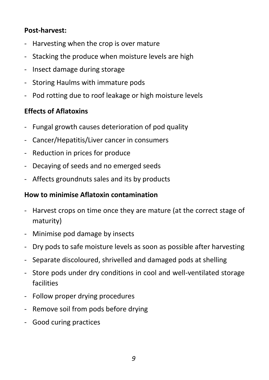#### **Post-harvest:**

- Harvesting when the crop is over mature
- Stacking the produce when moisture levels are high
- Insect damage during storage
- Storing Haulms with immature pods
- Pod rotting due to roof leakage or high moisture levels

#### **Effects of Aflatoxins**

- Fungal growth causes deterioration of pod quality
- Cancer/Hepatitis/Liver cancer in consumers
- Reduction in prices for produce
- Decaying of seeds and no emerged seeds
- Affects groundnuts sales and its by products

#### **How to minimise Aflatoxin contamination**

- Harvest crops on time once they are mature (at the correct stage of maturity)
- Minimise pod damage by insects
- Dry pods to safe moisture levels as soon as possible after harvesting
- Separate discoloured, shrivelled and damaged pods at shelling
- Store pods under dry conditions in cool and well-ventilated storage facilities
- Follow proper drying procedures
- Remove soil from pods before drying
- Good curing practices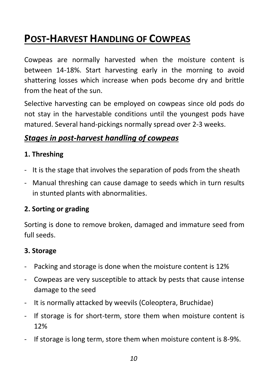### **POST-HARVEST HANDLING OF COWPEAS**

Cowpeas are normally harvested when the moisture content is between 14-18%. Start harvesting early in the morning to avoid shattering losses which increase when pods become dry and brittle from the heat of the sun.

Selective harvesting can be employed on cowpeas since old pods do not stay in the harvestable conditions until the youngest pods have matured. Several hand-pickings normally spread over 2-3 weeks.

#### *Stages in post-harvest handling of cowpeas*

#### **1. Threshing**

- It is the stage that involves the separation of pods from the sheath
- Manual threshing can cause damage to seeds which in turn results in stunted plants with abnormalities.

#### **2. Sorting or grading**

Sorting is done to remove broken, damaged and immature seed from full seeds.

#### **3. Storage**

- Packing and storage is done when the moisture content is 12%
- Cowpeas are very susceptible to attack by pests that cause intense damage to the seed
- It is normally attacked by weevils (Coleoptera, Bruchidae)
- If storage is for short-term, store them when moisture content is 12%
- If storage is long term, store them when moisture content is 8-9%.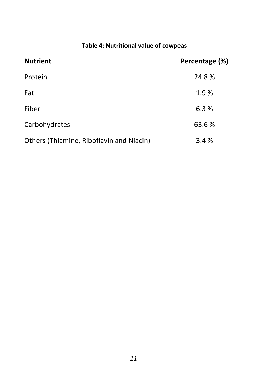| <b>Nutrient</b>                          | Percentage (%) |
|------------------------------------------|----------------|
| Protein                                  | 24.8%          |
| Fat                                      | 1.9%           |
| Fiber                                    | 6.3%           |
| Carbohydrates                            | 63.6 %         |
| Others (Thiamine, Riboflavin and Niacin) | 3.4%           |

#### **Table 4: Nutritional value of cowpeas**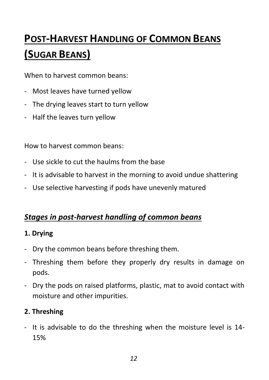## **POST-HARVEST HANDLING OF COMMON BEANS (SUGAR BEANS)**

When to harvest common beans:

- Most leaves have turned yellow
- The drying leaves start to turn yellow
- Half the leaves turn yellow

How to harvest common beans:

- Use sickle to cut the haulms from the base
- It is advisable to harvest in the morning to avoid undue shattering
- Use selective harvesting if pods have unevenly matured

#### *Stages in post-harvest handling of common beans*

#### **1. Drying**

- Dry the common beans before threshing them.
- Threshing them before they properly dry results in damage on pods.
- Dry the pods on raised platforms, plastic, mat to avoid contact with moisture and other impurities.

#### **2. Threshing**

- It is advisable to do the threshing when the moisture level is 14- 15%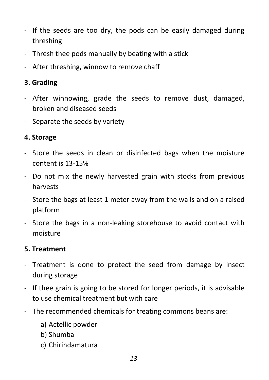- If the seeds are too dry, the pods can be easily damaged during threshing
- Thresh thee pods manually by beating with a stick
- After threshing, winnow to remove chaff

#### **3. Grading**

- After winnowing, grade the seeds to remove dust, damaged, broken and diseased seeds
- Separate the seeds by variety

#### **4. Storage**

- Store the seeds in clean or disinfected bags when the moisture content is 13-15%
- Do not mix the newly harvested grain with stocks from previous harvests
- Store the bags at least 1 meter away from the walls and on a raised platform
- Store the bags in a non-leaking storehouse to avoid contact with moisture

#### **5. Treatment**

- Treatment is done to protect the seed from damage by insect during storage
- If thee grain is going to be stored for longer periods, it is advisable to use chemical treatment but with care
- The recommended chemicals for treating commons beans are:
	- a) Actellic powder
	- b) Shumba
	- c) Chirindamatura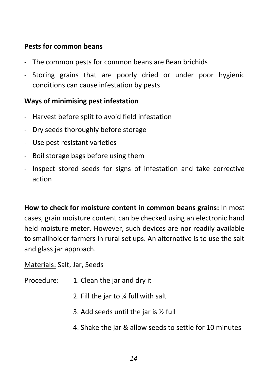#### **Pests for common beans**

- The common pests for common beans are Bean brichids
- Storing grains that are poorly dried or under poor hygienic conditions can cause infestation by pests

#### **Ways of minimising pest infestation**

- Harvest before split to avoid field infestation
- Dry seeds thoroughly before storage
- Use pest resistant varieties
- Boil storage bags before using them
- Inspect stored seeds for signs of infestation and take corrective action

**How to check for moisture content in common beans grains:** In most cases, grain moisture content can be checked using an electronic hand held moisture meter. However, such devices are nor readily available to smallholder farmers in rural set ups. An alternative is to use the salt and glass jar approach.

Materials: Salt, Jar, Seeds

- Procedure: 1. Clean the jar and dry it
	- 2. Fill the jar to ¼ full with salt
	- 3. Add seeds until the jar is ½ full
	- 4. Shake the jar & allow seeds to settle for 10 minutes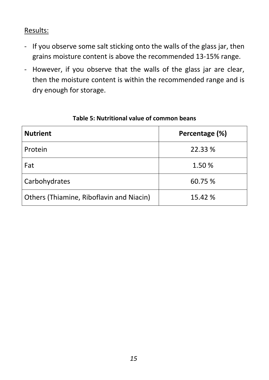Results:

- If you observe some salt sticking onto the walls of the glass jar, then grains moisture content is above the recommended 13-15% range.
- However, if you observe that the walls of the glass jar are clear, then the moisture content is within the recommended range and is dry enough for storage.

| <b>Nutrient</b>                          | Percentage (%) |
|------------------------------------------|----------------|
| Protein                                  | 22.33 %        |
| Fat                                      | 1.50 %         |
| Carbohydrates                            | 60.75 %        |
| Others (Thiamine, Riboflavin and Niacin) | 15.42 %        |

#### **Table 5: Nutritional value of common beans**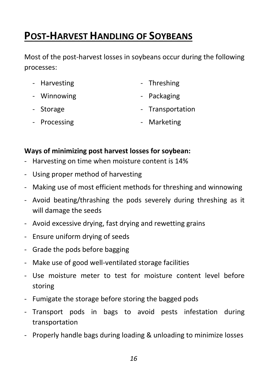### **POST-HARVEST HANDLING OF SOYBEANS**

Most of the post-harvest losses in soybeans occur during the following processes:

- Harvesting  **Threshing**
- Winnowing **Contract Contract Contract Contract Contract Contract Contract Contract Contract Contract Contract Contract Contract Contract Contract Contract Contract Contract Contract Contract Contract Contract Contract Co**
- Storage  **Storage Storage Storage Storage Transportation**
- Processing **Container and Container Container** Marketing

#### **Ways of minimizing post harvest losses for soybean:**

- Harvesting on time when moisture content is 14%
- Using proper method of harvesting
- Making use of most efficient methods for threshing and winnowing
- Avoid beating/thrashing the pods severely during threshing as it will damage the seeds
- Avoid excessive drying, fast drying and rewetting grains
- Ensure uniform drying of seeds
- Grade the pods before bagging
- Make use of good well-ventilated storage facilities
- Use moisture meter to test for moisture content level before storing
- Fumigate the storage before storing the bagged pods
- Transport pods in bags to avoid pests infestation during transportation
- Properly handle bags during loading & unloading to minimize losses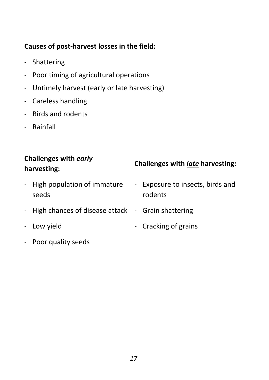#### **Causes of post-harvest losses in the field:**

- Shattering
- Poor timing of agricultural operations
- Untimely harvest (early or late harvesting)
- Careless handling
- Birds and rodents
- Rainfall

| <b>Challenges with early</b><br>harvesting:            | Challenges with late harvesting:          |
|--------------------------------------------------------|-------------------------------------------|
| High population of immature<br>$\blacksquare$<br>seeds | Exposure to insects, birds and<br>rodents |
| - High chances of disease attack                       | - Grain shattering                        |
| Low yield<br>$\blacksquare$                            | Cracking of grains                        |
| - Poor quality seeds                                   |                                           |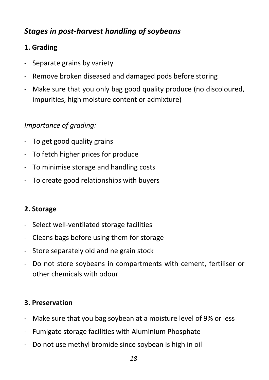#### *Stages in post-harvest handling of soybeans*

#### **1. Grading**

- Separate grains by variety
- Remove broken diseased and damaged pods before storing
- Make sure that you only bag good quality produce (no discoloured, impurities, high moisture content or admixture)

#### *Importance of grading:*

- To get good quality grains
- To fetch higher prices for produce
- To minimise storage and handling costs
- To create good relationships with buyers

#### **2. Storage**

- Select well-ventilated storage facilities
- Cleans bags before using them for storage
- Store separately old and ne grain stock
- Do not store soybeans in compartments with cement, fertiliser or other chemicals with odour

#### **3. Preservation**

- Make sure that you bag soybean at a moisture level of 9% or less
- Fumigate storage facilities with Aluminium Phosphate
- Do not use methyl bromide since soybean is high in oil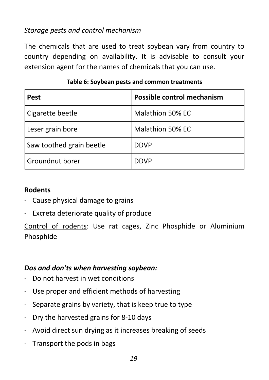#### *Storage pests and control mechanism*

The chemicals that are used to treat soybean vary from country to country depending on availability. It is advisable to consult your extension agent for the names of chemicals that you can use.

| <b>Pest</b>              | Possible control mechanism |
|--------------------------|----------------------------|
| Cigarette beetle         | <b>Malathion 50% EC</b>    |
| Leser grain bore         | <b>Malathion 50% EC</b>    |
| Saw toothed grain beetle | <b>DDVP</b>                |
| Groundnut borer          | <b>DDVP</b>                |

#### **Table 6: Soybean pests and common treatments**

#### **Rodents**

- Cause physical damage to grains
- Excreta deteriorate quality of produce

Control of rodents: Use rat cages, Zinc Phosphide or Aluminium Phosphide

#### *Dos and don'ts when harvesting soybean:*

- Do not harvest in wet conditions
- Use proper and efficient methods of harvesting
- Separate grains by variety, that is keep true to type
- Dry the harvested grains for 8-10 days
- Avoid direct sun drying as it increases breaking of seeds
- Transport the pods in bags